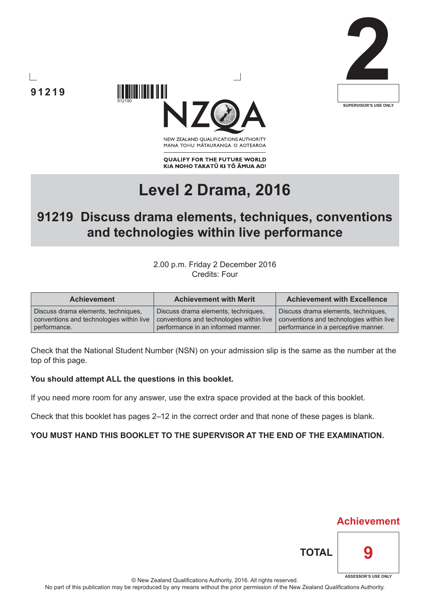



NEW ZEALAND OUALIFICATIONS AUTHORITY MANA TOHU MATAURANGA O AOTEAROA

**QUALIFY FOR THE FUTURE WORLD** KIA NOHO TAKATŪ KI TŌ ĀMUA AO!

# **Level 2 Drama, 2016**

# **91219 Discuss drama elements, techniques, conventions and technologies within live performance**

2.00 p.m. Friday 2 December 2016 Credits: Four

| <b>Achievement</b>                       | <b>Achievement with Merit</b>            | <b>Achievement with Excellence</b>       |  |
|------------------------------------------|------------------------------------------|------------------------------------------|--|
| Discuss drama elements, techniques,      | Discuss drama elements, techniques,      | Discuss drama elements, techniques,      |  |
| conventions and technologies within live | conventions and technologies within live | conventions and technologies within live |  |
| performance.                             | performance in an informed manner.       | performance in a perceptive manner.      |  |

Check that the National Student Number (NSN) on your admission slip is the same as the number at the top of this page.

#### **You should attempt ALL the questions in this booklet.**

If you need more room for any answer, use the extra space provided at the back of this booklet.

Check that this booklet has pages 2–12 in the correct order and that none of these pages is blank.

#### **YOU MUST HAND THIS BOOKLET TO THE SUPERVISOR AT THE END OF THE EXAMINATION.**

**91219**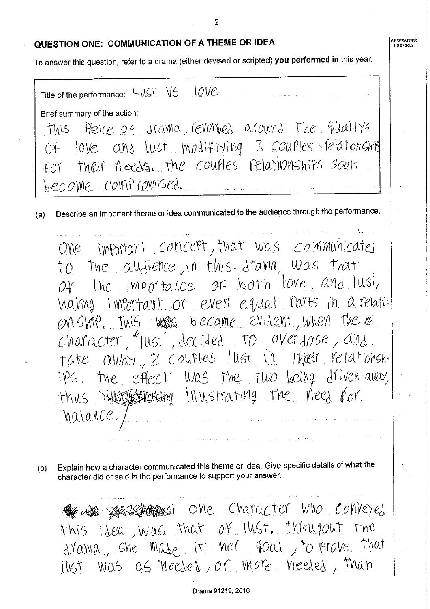#### QUESTION ONE: COMMUNICATION OF A THEME OR IDEA

To answer this question, refer to a drama (either devised or scripted) you performed in this year.

Title of the performance: LUST VS 10VC Brief summary of the action: this freice of drama, revolved around the qualitys. Of love and lust modifining 3 couples relationship their needs, the couples relationships soon  $\mathcal{L} \mathcal{O} \mathcal{V}$ become compromised.

Describe an important theme or idea communicated to the audience through the performance.  $(a)$ 

One important concept, that was communicated to the all-lience, in this drama, was that the importance of both love, and lust,  $OY$ haling infortant or even equal parts in a relati-EM SKIP, This was became evident, when the a character, "lust", decided to overdose, and take away, 2 couples lust in their relationships. the effect was the two being driven away, thus difforstrating illustrating the need for <u>Valalle</u>/

Explain how a character communicated this theme or idea. Give specific details of what the  $(b)$ character did or said in the performance to support your answer.

So star passes the character who conveyed this idea, was that of lust. Throusout the drama, she made it ner foal, to prove that lust was as needed, or more needed, than

 $\overline{2}$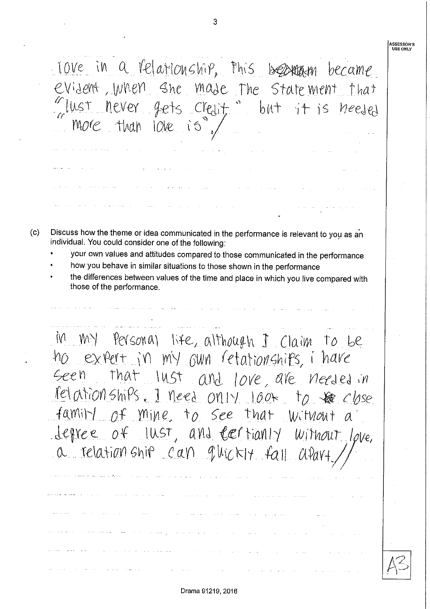**ASSESSOR'S<br>USE ONLY** love in a relationship, this bearrown became evident, when she made the statement  $That$ lust never  $q$ ets  $Cref$  $b$ MT  $1 + 15$ More than  $10ve$ ió Discuss how the theme or idea communicated in the performance is relevant to you as an individual. You could consider one of the following: your own values and attitudes compared to those communicated in the performance how you behave in similar situations to those shown in the performance the differences between values of the time and place in which you live compared with those of the performance.  $M$   $M$ Personal life, although I Claim to be ho expert in my own retationships, i have Geen that lust and love, are needed in relationships. I need only 100+ to be close family of mine to see that Witwout degree of lust, and certianly Without love,  $a$  relation ship can quickly fall A.Vav-

 $(c)$ 

Drama 91219, 2016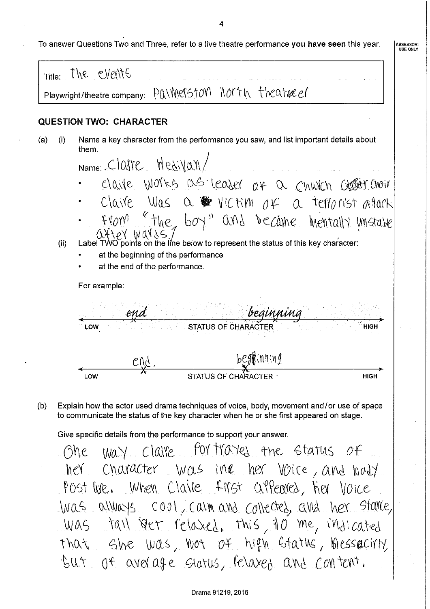4

|  |  | To answer Questions Two and Three, refer to a live theatre performance <b>you have seen</b> this year. |  |
|--|--|--------------------------------------------------------------------------------------------------------|--|
|--|--|--------------------------------------------------------------------------------------------------------|--|

ASSESSOR'<br>USE ONLY Title<sup> The</sup> events Playwright/theatre company: PAIMerSTON MORTH Theatre of **QUESTION TWO: CHARACTER** Name a key character from the performance you saw, and list important details about  $(a)$  $(i)$ them. Name: Claire Hesivan/ claire works as leaser of a chwich grader choir claire was a wictim of a temprist attack "the boy" and became mentally unstabe  $f(\partial W)$  $Q + QY$   $WQY \ge 7$ <br>Label TWO points on the line below to represent the status of this key character:  $(ii)$ at the beginning of the performance at the end of the performance. For example: end. imnini **STATUS OF CHAR** LOW **HIGH** beg**y**inning  $\mathcal{C}$ Nd LOW **HIGH** Explain how the actor used drama techniques of voice, body, movement and/or use of space  $(b)$ to communicate the status of the key character when he or she first appeared on stage.

Give specific details from the performance to support your answer.

way claire for tracted the status of Ghe her character was ine her voice, and boty Post live. When Claire first appeared, her voice was always cool, calm and collected, and her stare, Was tail over relaxed, this 10 me, indicated that She was, not of high status, hessecirly But of average status, relaxed and content.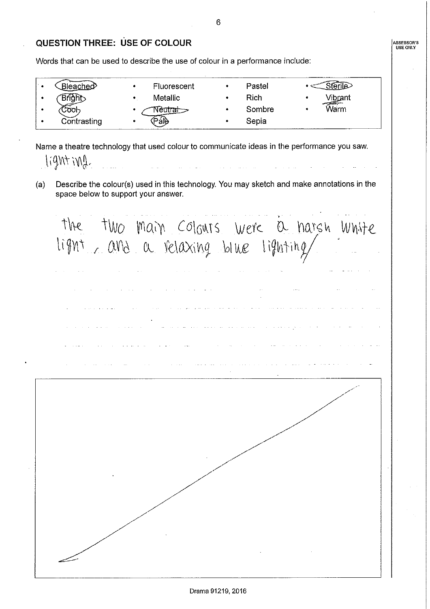## **QUESTION THREE: USE OF COLOUR**

Words that can be used to describe the use of colour in a performance include:

| ∵nerv       | <b>Fluorescent</b> | Pastel |      |
|-------------|--------------------|--------|------|
|             | <b>Metallic</b>    | Rich   | ٠    |
|             |                    | Sombre | varm |
| Contrasting |                    | Sepia  |      |

Name a theatre technology that used colour to communicate ideas in the performance you saw.  $[i9nt \in M].$ 

Describe the colour(s) used in this technology. You may sketch and make annotations in the  $(a)$ space below to support your answer.

the two main colours were a narsh white<br>light, and a relaxing blue lighting ing<br>Salah di Salah Sa

6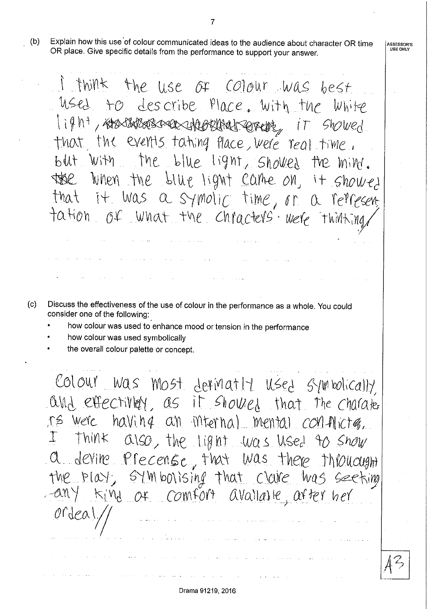Explain how this use of colour communicated ideas to the audience about character OR time  $(b)$ OR place. Give specific details from the performance to support your answer.

I think the use of Colour was best used to describe Place. With the White 1ight, rosstaresseres cheorethed server, it showed that the events tating flace, were real time. but with the blue light, showed the mind. the when the blue light came on, it showed that it was a symolic time, or a represent tation of what the chracters were thinking

- $(c)$ Discuss the effectiveness of the use of colour in the performance as a whole. You could consider one of the following:
	- how colour was used to enhance mood or tension in the performance
	- how colour was used symbolically
	- the overall colour palette or concept.

Colour was most definatif used symbolically and effectively, as it showed that the charater rs were having an internal mental conflictes.  $I$  think also, the light was used to show a devine Precense, that was there throught the play, symbolising that claire was seeking any kind of comfort availance, after her ordeal,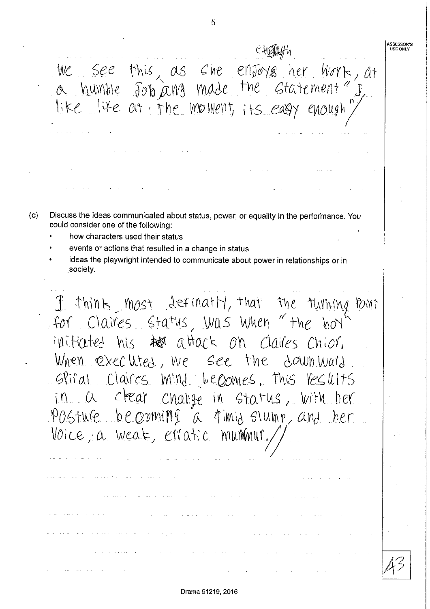We see this as she enfoys her work, at<br>a humble for and made the statement" f, like life at the moment, its easy enough Discuss the ideas communicated about status, power, or equality in the performance. You could consider one of the following:

5

how characters used their status

 $(c)$ 

- events or actions that resulted in a change in status
- ideas the playwright intended to communicate about power in relationships or in society.

I think most definally, that the turning point for Claires status, was when "the boy initiated his to attack on claires chior. When executed, we see the down ward Siral Claires mind becomes. This results in a clear change in status, with her POSTUR becoming a fimid slump, and  $h\rho r$ Voice, a weak, erratic mummur